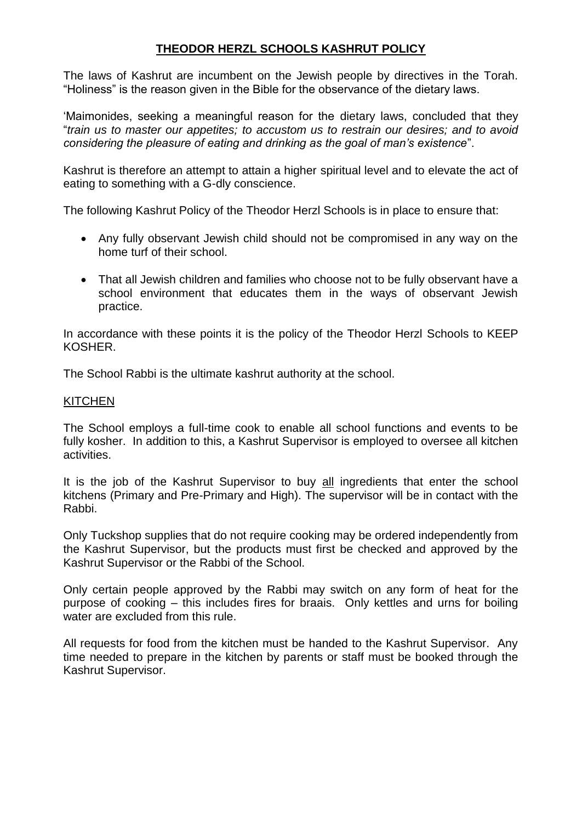# **THEODOR HERZL SCHOOLS KASHRUT POLICY**

The laws of Kashrut are incumbent on the Jewish people by directives in the Torah. "Holiness" is the reason given in the Bible for the observance of the dietary laws.

'Maimonides, seeking a meaningful reason for the dietary laws, concluded that they "*train us to master our appetites; to accustom us to restrain our desires; and to avoid considering the pleasure of eating and drinking as the goal of man's existence*".

Kashrut is therefore an attempt to attain a higher spiritual level and to elevate the act of eating to something with a G-dly conscience.

The following Kashrut Policy of the Theodor Herzl Schools is in place to ensure that:

- Any fully observant Jewish child should not be compromised in any way on the home turf of their school.
- That all Jewish children and families who choose not to be fully observant have a school environment that educates them in the ways of observant Jewish practice.

In accordance with these points it is the policy of the Theodor Herzl Schools to KEEP KOSHER.

The School Rabbi is the ultimate kashrut authority at the school.

## **KITCHEN**

The School employs a full-time cook to enable all school functions and events to be fully kosher. In addition to this, a Kashrut Supervisor is employed to oversee all kitchen activities.

It is the job of the Kashrut Supervisor to buy all ingredients that enter the school kitchens (Primary and Pre-Primary and High). The supervisor will be in contact with the Rabbi.

Only Tuckshop supplies that do not require cooking may be ordered independently from the Kashrut Supervisor, but the products must first be checked and approved by the Kashrut Supervisor or the Rabbi of the School.

Only certain people approved by the Rabbi may switch on any form of heat for the purpose of cooking – this includes fires for braais. Only kettles and urns for boiling water are excluded from this rule.

All requests for food from the kitchen must be handed to the Kashrut Supervisor. Any time needed to prepare in the kitchen by parents or staff must be booked through the Kashrut Supervisor.